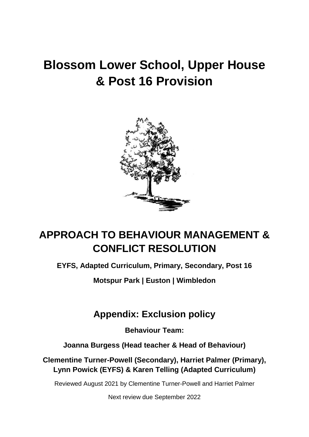# **Blossom Lower School, Upper House & Post 16 Provision**



## **APPROACH TO BEHAVIOUR MANAGEMENT & CONFLICT RESOLUTION**

**EYFS, Adapted Curriculum, Primary, Secondary, Post 16**

**Motspur Park | Euston | Wimbledon**

### **Appendix: Exclusion policy**

**Behaviour Team:**

**Joanna Burgess (Head teacher & Head of Behaviour)**

**Clementine Turner-Powell (Secondary), Harriet Palmer (Primary), Lynn Powick (EYFS) & Karen Telling (Adapted Curriculum)**

Reviewed August 2021 by Clementine Turner-Powell and Harriet Palmer

Next review due September 2022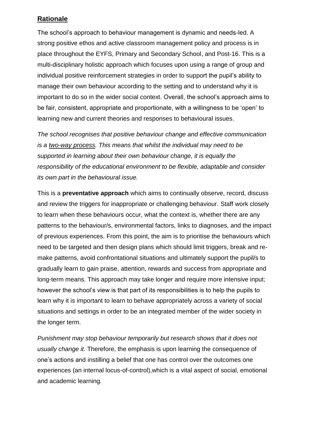#### **Rationale**

The school's approach to behaviour management is dynamic and needs-led. A strong positive ethos and active classroom management policy and process is in place throughout the EYFS, Primary and Secondary School, and Post-16. This is a multi-disciplinary holistic approach which focuses upon using a range of group and individual positive reinforcement strategies in order to support the pupil's ability to manage their own behaviour according to the setting and to understand why it is important to do so in the wider social context. Overall, the school's approach aims to be fair, consistent, appropriate and proportionate, with a willingness to be 'open' to learning new and current theories and responses to behavioural issues.

*The school recognises that positive behaviour change and effective communication is a two-way process. This means that whilst the individual may need to be supported in learning about their own behaviour change, it is equally the responsibility of the educational environment to be flexible, adaptable and consider its own part in the behavioural issue.*

This is a **preventative approach** which aims to continually observe, record, discuss and review the triggers for inappropriate or challenging behaviour. Staff work closely to learn when these behaviours occur, what the context is, whether there are any patterns to the behaviour/s, environmental factors, links to diagnoses, and the impact of previous experiences. From this point, the aim is to prioritise the behaviours which need to be targeted and then design plans which should limit triggers, break and remake patterns, avoid confrontational situations and ultimately support the pupil/s to gradually learn to gain praise, attention, rewards and success from appropriate and long-term means. This approach may take longer and require more intensive input; however the school's view is that part of its responsibilities is to help the pupils to learn why it is important to learn to behave appropriately across a variety of social situations and settings in order to be an integrated member of the wider society in the longer term.

*Punishment may stop behaviour temporarily but research shows that it does not usually change it.* Therefore, the emphasis is upon learning the consequence of one's actions and instilling a belief that one has control over the outcomes one experiences (an internal locus-of-control),which is a vital aspect of social, emotional and academic learning.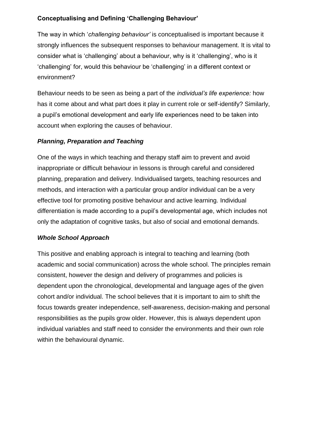#### **Conceptualising and Defining 'Challenging Behaviour'**

The way in which '*challenging behaviour'* is conceptualised is important because it strongly influences the subsequent responses to behaviour management. It is vital to consider what is 'challenging' about a behaviour, why is it 'challenging', who is it 'challenging' for, would this behaviour be 'challenging' in a different context or environment?

Behaviour needs to be seen as being a part of the *individual's life experience:* how has it come about and what part does it play in current role or self-identify? Similarly, a pupil's emotional development and early life experiences need to be taken into account when exploring the causes of behaviour.

#### *Planning, Preparation and Teaching*

One of the ways in which teaching and therapy staff aim to prevent and avoid inappropriate or difficult behaviour in lessons is through careful and considered planning, preparation and delivery. Individualised targets, teaching resources and methods, and interaction with a particular group and/or individual can be a very effective tool for promoting positive behaviour and active learning. Individual differentiation is made according to a pupil's developmental age, which includes not only the adaptation of cognitive tasks, but also of social and emotional demands.

#### *Whole School Approach*

This positive and enabling approach is integral to teaching and learning (both academic and social communication) across the whole school. The principles remain consistent, however the design and delivery of programmes and policies is dependent upon the chronological, developmental and language ages of the given cohort and/or individual. The school believes that it is important to aim to shift the focus towards greater independence, self-awareness, decision-making and personal responsibilities as the pupils grow older. However, this is always dependent upon individual variables and staff need to consider the environments and their own role within the behavioural dynamic.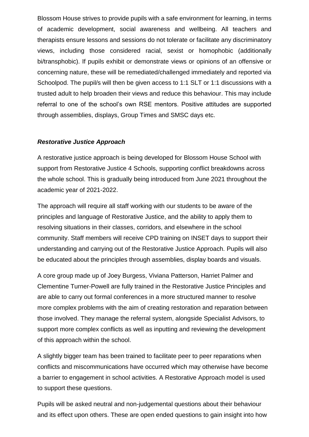Blossom House strives to provide pupils with a safe environment for learning, in terms of academic development, social awareness and wellbeing. All teachers and therapists ensure lessons and sessions do not tolerate or facilitate any discriminatory views, including those considered racial, sexist or homophobic (additionally bi/transphobic). If pupils exhibit or demonstrate views or opinions of an offensive or concerning nature, these will be remediated/challenged immediately and reported via Schoolpod. The pupil/s will then be given access to 1:1 SLT or 1:1 discussions with a trusted adult to help broaden their views and reduce this behaviour. This may include referral to one of the school's own RSE mentors. Positive attitudes are supported through assemblies, displays, Group Times and SMSC days etc.

#### *Restorative Justice Approach*

A restorative justice approach is being developed for Blossom House School with support from Restorative Justice 4 Schools, supporting conflict breakdowns across the whole school. This is gradually being introduced from June 2021 throughout the academic year of 2021-2022.

The approach will require all staff working with our students to be aware of the principles and language of Restorative Justice, and the ability to apply them to resolving situations in their classes, corridors, and elsewhere in the school community. Staff members will receive CPD training on INSET days to support their understanding and carrying out of the Restorative Justice Approach. Pupils will also be educated about the principles through assemblies, display boards and visuals.

A core group made up of Joey Burgess, Viviana Patterson, Harriet Palmer and Clementine Turner-Powell are fully trained in the Restorative Justice Principles and are able to carry out formal conferences in a more structured manner to resolve more complex problems with the aim of creating restoration and reparation between those involved. They manage the referral system, alongside Specialist Advisors, to support more complex conflicts as well as inputting and reviewing the development of this approach within the school.

A slightly bigger team has been trained to facilitate peer to peer reparations when conflicts and miscommunications have occurred which may otherwise have become a barrier to engagement in school activities. A Restorative Approach model is used to support these questions.

Pupils will be asked neutral and non-judgemental questions about their behaviour and its effect upon others. These are open ended questions to gain insight into how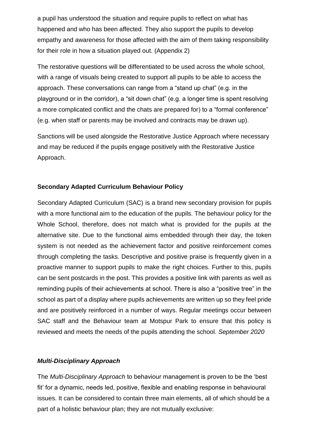a pupil has understood the situation and require pupils to reflect on what has happened and who has been affected. They also support the pupils to develop empathy and awareness for those affected with the aim of them taking responsibility for their role in how a situation played out. (Appendix 2)

The restorative questions will be differentiated to be used across the whole school, with a range of visuals being created to support all pupils to be able to access the approach. These conversations can range from a "stand up chat" (e.g. in the playground or in the corridor), a "sit down chat" (e.g. a longer time is spent resolving a more complicated conflict and the chats are prepared for) to a "formal conference" (e.g. when staff or parents may be involved and contracts may be drawn up).

Sanctions will be used alongside the Restorative Justice Approach where necessary and may be reduced if the pupils engage positively with the Restorative Justice Approach.

#### **Secondary Adapted Curriculum Behaviour Policy**

Secondary Adapted Curriculum (SAC) is a brand new secondary provision for pupils with a more functional aim to the education of the pupils. The behaviour policy for the Whole School, therefore, does not match what is provided for the pupils at the alternative site. Due to the functional aims embedded through their day, the token system is not needed as the achievement factor and positive reinforcement comes through completing the tasks. Descriptive and positive praise is frequently given in a proactive manner to support pupils to make the right choices. Further to this, pupils can be sent postcards in the post. This provides a positive link with parents as well as reminding pupils of their achievements at school. There is also a "positive tree" in the school as part of a display where pupils achievements are written up so they feel pride and are positively reinforced in a number of ways. Regular meetings occur between SAC staff and the Behaviour team at Motspur Park to ensure that this policy is reviewed and meets the needs of the pupils attending the school. *September 2020*

#### *Multi-Disciplinary Approach*

The *Multi-Disciplinary Approach* to behaviour management is proven to be the 'best fit' for a dynamic, needs led, positive, flexible and enabling response in behavioural issues. It can be considered to contain three main elements, all of which should be a part of a holistic behaviour plan; they are not mutually exclusive: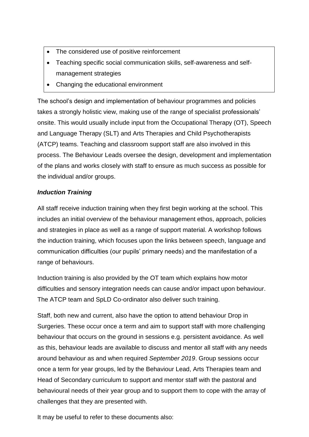- The considered use of positive reinforcement
- Teaching specific social communication skills, self-awareness and selfmanagement strategies
- Changing the educational environment

The school's design and implementation of behaviour programmes and policies takes a strongly holistic view, making use of the range of specialist professionals' onsite. This would usually include input from the Occupational Therapy (OT), Speech and Language Therapy (SLT) and Arts Therapies and Child Psychotherapists (ATCP) teams. Teaching and classroom support staff are also involved in this process. The Behaviour Leads oversee the design, development and implementation of the plans and works closely with staff to ensure as much success as possible for the individual and/or groups.

#### *Induction Training*

All staff receive induction training when they first begin working at the school. This includes an initial overview of the behaviour management ethos, approach, policies and strategies in place as well as a range of support material. A workshop follows the induction training, which focuses upon the links between speech, language and communication difficulties (our pupils' primary needs) and the manifestation of a range of behaviours.

Induction training is also provided by the OT team which explains how motor difficulties and sensory integration needs can cause and/or impact upon behaviour. The ATCP team and SpLD Co-ordinator also deliver such training.

Staff, both new and current, also have the option to attend behaviour Drop in Surgeries. These occur once a term and aim to support staff with more challenging behaviour that occurs on the ground in sessions e.g. persistent avoidance. As well as this, behaviour leads are available to discuss and mentor all staff with any needs around behaviour as and when required *September 2019*. Group sessions occur once a term for year groups, led by the Behaviour Lead, Arts Therapies team and Head of Secondary curriculum to support and mentor staff with the pastoral and behavioural needs of their year group and to support them to cope with the array of challenges that they are presented with.

It may be useful to refer to these documents also: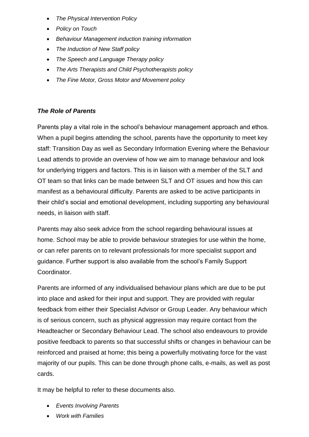- *The Physical Intervention Policy*
- *Policy on Touch*
- *Behaviour Management induction training information*
- *The Induction of New Staff policy*
- *The Speech and Language Therapy policy*
- *The Arts Therapists and Child Psychotherapists policy*
- *The Fine Motor, Gross Motor and Movement policy*

#### *The Role of Parents*

Parents play a vital role in the school's behaviour management approach and ethos. When a pupil begins attending the school, parents have the opportunity to meet key staff: Transition Day as well as Secondary Information Evening where the Behaviour Lead attends to provide an overview of how we aim to manage behaviour and look for underlying triggers and factors. This is in liaison with a member of the SLT and OT team so that links can be made between SLT and OT issues and how this can manifest as a behavioural difficulty. Parents are asked to be active participants in their child's social and emotional development, including supporting any behavioural needs, in liaison with staff.

Parents may also seek advice from the school regarding behavioural issues at home. School may be able to provide behaviour strategies for use within the home, or can refer parents on to relevant professionals for more specialist support and guidance. Further support is also available from the school's Family Support Coordinator.

Parents are informed of any individualised behaviour plans which are due to be put into place and asked for their input and support. They are provided with regular feedback from either their Specialist Advisor or Group Leader. Any behaviour which is of serious concern, such as physical aggression may require contact from the Headteacher or Secondary Behaviour Lead. The school also endeavours to provide positive feedback to parents so that successful shifts or changes in behaviour can be reinforced and praised at home; this being a powerfully motivating force for the vast majority of our pupils. This can be done through phone calls, e-mails, as well as post cards.

It may be helpful to refer to these documents also.

- *Events Involving Parents*
- *Work with Families*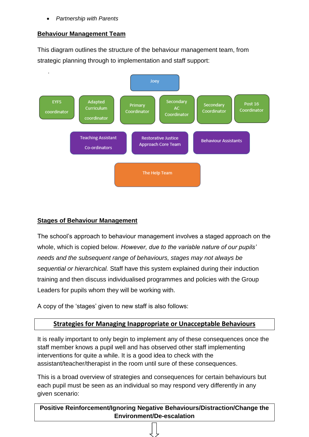• *Partnership with Parents*

#### **Behaviour Management Team**

This diagram outlines the structure of the behaviour management team, from strategic planning through to implementation and staff support:



#### **Stages of Behaviour Management**

The school's approach to behaviour management involves a staged approach on the whole, which is copied below. *However, due to the variable nature of our pupils' needs and the subsequent range of behaviours, stages may not always be sequential or hierarchical.* Staff have this system explained during their induction training and then discuss individualised programmes and policies with the Group Leaders for pupils whom they will be working with.

A copy of the 'stages' given to new staff is also follows:

#### **Strategies for Managing Inappropriate or Unacceptable Behaviours**

It is really important to only begin to implement any of these consequences once the staff member knows a pupil well and has observed other staff implementing interventions for quite a while. It is a good idea to check with the assistant/teacher/therapist in the room until sure of these consequences.

This is a broad overview of strategies and consequences for certain behaviours but each pupil must be seen as an individual so may respond very differently in any given scenario:

**Positive Reinforcement/Ignoring Negative Behaviours/Distraction/Change the Environment/De-escalation**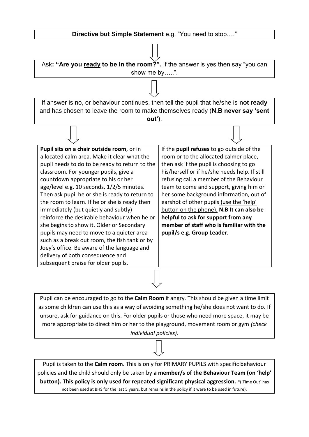

Pupil can be encouraged to go to the **Calm Room** if angry. This should be given a time limit as some children can use this as a way of avoiding something he/she does not want to do. If unsure, ask for guidance on this. For older pupils or those who need more space, it may be more appropriate to direct him or her to the playground, movement room or gym *(check individual policies).*

Pupil is taken to the **Calm room**. This is only for PRIMARY PUPILS with specific behaviour policies and the child should only be taken by **a member/s of the Behaviour Team (on 'help' button). This policy is only used for repeated significant physical aggression.** \*('Time Out' has not been used at BHS for the last 5 years, but remains in the policy if it were to be used in future).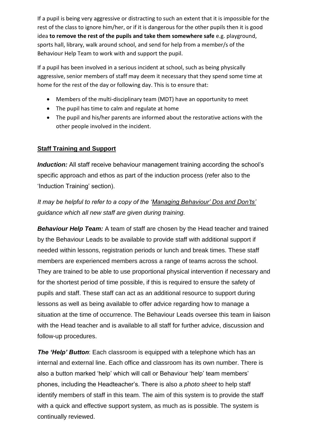If a pupil is being very aggressive or distracting to such an extent that it is impossible for the rest of the class to ignore him/her, or if it is dangerous for the other pupils then it is good idea **to remove the rest of the pupils and take them somewhere safe** e.g. playground, sports hall, library, walk around school, and send for help from a member/s of the Behaviour Help Team to work with and support the pupil.

If a pupil has been involved in a serious incident at school, such as being physically aggressive, senior members of staff may deem it necessary that they spend some time at home for the rest of the day or following day. This is to ensure that:

- Members of the multi-disciplinary team (MDT) have an opportunity to meet
- The pupil has time to calm and regulate at home
- The pupil and his/her parents are informed about the restorative actions with the other people involved in the incident.

#### **Staff Training and Support**

*Induction:* All staff receive behaviour management training according the school's specific approach and ethos as part of the induction process (refer also to the 'Induction Training' section).

*It may be helpful to refer to a copy of the 'Managing Behaviour' Dos and Don'ts' guidance which all new staff are given during training.*

*Behaviour Help Team:* A team of staff are chosen by the Head teacher and trained by the Behaviour Leads to be available to provide staff with additional support if needed within lessons, registration periods or lunch and break times. These staff members are experienced members across a range of teams across the school. They are trained to be able to use proportional physical intervention if necessary and for the shortest period of time possible, if this is required to ensure the safety of pupils and staff. These staff can act as an additional resource to support during lessons as well as being available to offer advice regarding how to manage a situation at the time of occurrence. The Behaviour Leads oversee this team in liaison with the Head teacher and is available to all staff for further advice, discussion and follow-up procedures.

*The 'Help' Button*: Each classroom is equipped with a telephone which has an internal and external line. Each office and classroom has its own number. There is also a button marked 'help' which will call or Behaviour 'help' team members' phones, including the Headteacher's. There is also a *photo sheet* to help staff identify members of staff in this team. The aim of this system is to provide the staff with a quick and effective support system, as much as is possible. The system is continually reviewed.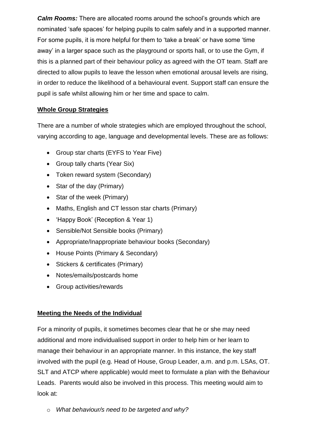*Calm Rooms:* There are allocated rooms around the school's grounds which are nominated 'safe spaces' for helping pupils to calm safely and in a supported manner. For some pupils, it is more helpful for them to 'take a break' or have some 'time away' in a larger space such as the playground or sports hall, or to use the Gym, if this is a planned part of their behaviour policy as agreed with the OT team. Staff are directed to allow pupils to leave the lesson when emotional arousal levels are rising, in order to reduce the likelihood of a behavioural event. Support staff can ensure the pupil is safe whilst allowing him or her time and space to calm.

#### **Whole Group Strategies**

There are a number of whole strategies which are employed throughout the school, varying according to age, language and developmental levels. These are as follows:

- Group star charts (EYFS to Year Five)
- Group tally charts (Year Six)
- Token reward system (Secondary)
- Star of the day (Primary)
- Star of the week (Primary)
- Maths, English and CT lesson star charts (Primary)
- 'Happy Book' (Reception & Year 1)
- Sensible/Not Sensible books (Primary)
- Appropriate/Inappropriate behaviour books (Secondary)
- House Points (Primary & Secondary)
- Stickers & certificates (Primary)
- Notes/emails/postcards home
- Group activities/rewards

#### **Meeting the Needs of the Individual**

For a minority of pupils, it sometimes becomes clear that he or she may need additional and more individualised support in order to help him or her learn to manage their behaviour in an appropriate manner. In this instance, the key staff involved with the pupil (e.g. Head of House, Group Leader, a.m. and p.m. LSAs, OT. SLT and ATCP where applicable) would meet to formulate a plan with the Behaviour Leads. Parents would also be involved in this process. This meeting would aim to look at:

o *What behaviour/s need to be targeted and why?*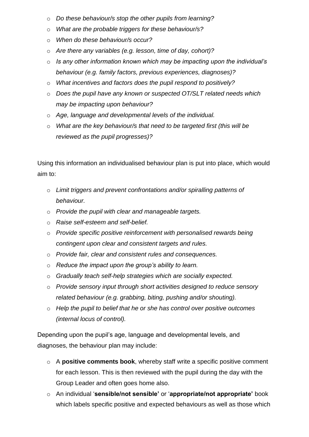- o *Do these behaviour/s stop the other pupils from learning?*
- o *What are the probable triggers for these behaviour/s?*
- o *When do these behaviour/s occur?*
- o *Are there any variables (e.g. lesson, time of day, cohort)?*
- o *Is any other information known which may be impacting upon the individual's behaviour (e.g. family factors, previous experiences, diagnoses)?*
- o *What incentives and factors does the pupil respond to positively?*
- o *Does the pupil have any known or suspected OT/SLT related needs which may be impacting upon behaviour?*
- o *Age, language and developmental levels of the individual.*
- o *What are the key behaviour/s that need to be targeted first (this will be reviewed as the pupil progresses)?*

Using this information an individualised behaviour plan is put into place, which would aim to:

- o *Limit triggers and prevent confrontations and/or spiralling patterns of behaviour.*
- o *Provide the pupil with clear and manageable targets.*
- o *Raise self-esteem and self-belief.*
- o *Provide specific positive reinforcement with personalised rewards being contingent upon clear and consistent targets and rules.*
- o *Provide fair, clear and consistent rules and consequences.*
- o *Reduce the impact upon the group's ability to learn.*
- o *Gradually teach self-help strategies which are socially expected.*
- o *Provide sensory input through short activities designed to reduce sensory related behaviour (e.g. grabbing, biting, pushing and/or shouting).*
- o *Help the pupil to belief that he or she has control over positive outcomes (internal locus of control).*

Depending upon the pupil's age, language and developmental levels, and diagnoses, the behaviour plan may include:

- o A **positive comments book**, whereby staff write a specific positive comment for each lesson. This is then reviewed with the pupil during the day with the Group Leader and often goes home also.
- o An individual '**sensible/not sensible'** or '**appropriate/not appropriate'** book which labels specific positive and expected behaviours as well as those which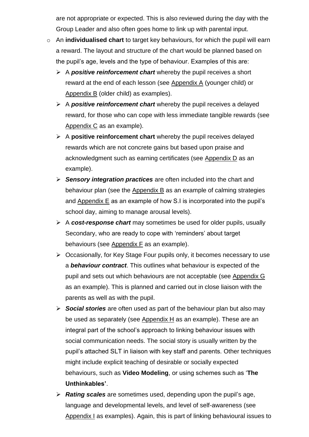are not appropriate or expected. This is also reviewed during the day with the Group Leader and also often goes home to link up with parental input.

- o An **individualised chart** to target key behaviours, for which the pupil will earn a reward. The layout and structure of the chart would be planned based on the pupil's age, levels and the type of behaviour. Examples of this are:
	- ➢ A *positive reinforcement chart* whereby the pupil receives a short reward at the end of each lesson (see Appendix A (younger child) or Appendix B (older child) as examples).
	- ➢ A *positive reinforcement chart* whereby the pupil receives a delayed reward, for those who can cope with less immediate tangible rewards (see Appendix C as an example).
	- ➢ A **positive reinforcement chart** whereby the pupil receives delayed rewards which are not concrete gains but based upon praise and acknowledgment such as earning certificates (see Appendix D as an example).
	- ➢ *Sensory integration practices* are often included into the chart and behaviour plan (see the Appendix B as an example of calming strategies and Appendix  $E$  as an example of how S.I is incorporated into the pupil's school day, aiming to manage arousal levels).
	- ➢ A *cost-response chart* may sometimes be used for older pupils, usually Secondary, who are ready to cope with 'reminders' about target behaviours (see Appendix F as an example).
	- ➢ Occasionally, for Key Stage Four pupils only, it becomes necessary to use a *behaviour contract*. This outlines what behaviour is expected of the pupil and sets out which behaviours are not acceptable (see Appendix G as an example). This is planned and carried out in close liaison with the parents as well as with the pupil.
	- ➢ *Social stories* are often used as part of the behaviour plan but also may be used as separately (see Appendix H as an example). These are an integral part of the school's approach to linking behaviour issues with social communication needs. The social story is usually written by the pupil's attached SLT in liaison with key staff and parents. Other techniques might include explicit teaching of desirable or socially expected behaviours, such as **Video Modeling**, or using schemes such as '**The Unthinkables'**.
	- ➢ *Rating scales* are sometimes used, depending upon the pupil's age, language and developmental levels, and level of self-awareness (see Appendix I as examples). Again, this is part of linking behavioural issues to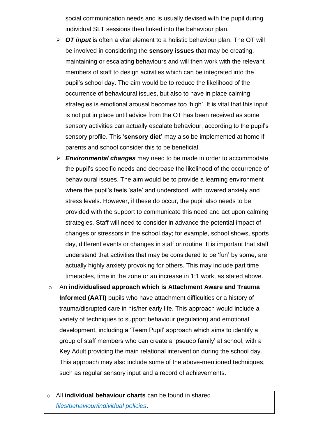social communication needs and is usually devised with the pupil during individual SLT sessions then linked into the behaviour plan.

- ➢ *OT input* is often a vital element to a holistic behaviour plan. The OT will be involved in considering the **sensory issues** that may be creating, maintaining or escalating behaviours and will then work with the relevant members of staff to design activities which can be integrated into the pupil's school day. The aim would be to reduce the likelihood of the occurrence of behavioural issues, but also to have in place calming strategies is emotional arousal becomes too 'high'. It is vital that this input is not put in place until advice from the OT has been received as some sensory activities can actually escalate behaviour, according to the pupil's sensory profile. This '**sensory diet'** may also be implemented at home if parents and school consider this to be beneficial.
- ➢ *Environmental changes* may need to be made in order to accommodate the pupil's specific needs and decrease the likelihood of the occurrence of behavioural issues. The aim would be to provide a learning environment where the pupil's feels 'safe' and understood, with lowered anxiety and stress levels. However, if these do occur, the pupil also needs to be provided with the support to communicate this need and act upon calming strategies. Staff will need to consider in advance the potential impact of changes or stressors in the school day; for example, school shows, sports day, different events or changes in staff or routine. It is important that staff understand that activities that may be considered to be 'fun' by some, are actually highly anxiety provoking for others. This may include part time timetables, time in the zone or an increase in 1:1 work, as stated above.
- o An **individualised approach which is Attachment Aware and Trauma Informed (AATI)** pupils who have attachment difficulties or a history of trauma/disrupted care in his/her early life. This approach would include a variety of techniques to support behaviour (regulation) and emotional development, including a 'Team Pupil' approach which aims to identify a group of staff members who can create a 'pseudo family' at school, with a Key Adult providing the main relational intervention during the school day. This approach may also include some of the above-mentioned techniques, such as regular sensory input and a record of achievements.
- o All **individual behaviour charts** can be found in shared *files/behaviour/individual policies*.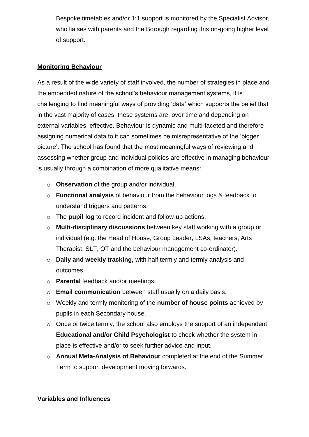Bespoke timetables and/or 1:1 support is monitored by the Specialist Advisor, who liaises with parents and the Borough regarding this on-going higher level of support.

#### **Monitoring Behaviour**

As a result of the wide variety of staff involved, the number of strategies in place and the embedded nature of the school's behaviour management systems, it is challenging to find meaningful ways of providing 'data' which supports the belief that in the vast majority of cases, these systems are, over time and depending on external variables, effective. Behaviour is dynamic and multi-faceted and therefore assigning numerical data to it can sometimes be misrepresentative of the 'bigger picture'. The school has found that the most meaningful ways of reviewing and assessing whether group and individual policies are effective in managing behaviour is usually through a combination of more qualitative means:

- o **Observation** of the group and/or individual.
- o **Functional analysis** of behaviour from the behaviour logs & feedback to understand triggers and patterns.
- o The **pupil log** to record incident and follow-up actions.
- o **Multi-disciplinary discussions** between key staff working with a group or individual (e.g. the Head of House, Group Leader, LSAs, teachers, Arts Therapist, SLT, OT and the behaviour management co-ordinator).
- o **Daily and weekly tracking,** with half termly and termly analysis and outcomes.
- o **Parental** feedback and/or meetings.
- o **Email communication** between staff usually on a daily basis.
- o Weekly and termly monitoring of the **number of house points** achieved by pupils in each Secondary house.
- o Once or twice termly, the school also employs the support of an independent **Educational and/or Child Psychologist** to check whether the system in place is effective and/or to seek further advice and input.
- o **Annual Meta-Analysis of Behaviour** completed at the end of the Summer Term to support development moving forwards*.*

#### **Variables and Influences**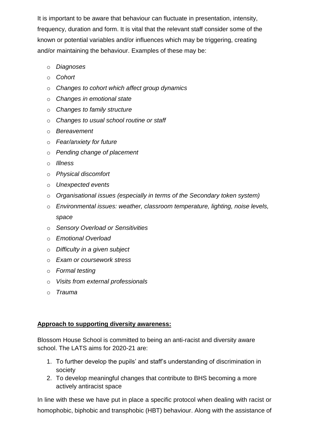It is important to be aware that behaviour can fluctuate in presentation, intensity, frequency, duration and form. It is vital that the relevant staff consider some of the known or potential variables and/or influences which may be triggering, creating and/or maintaining the behaviour. Examples of these may be:

- o *Diagnoses*
- o *Cohort*
- o *Changes to cohort which affect group dynamics*
- o *Changes in emotional state*
- o *Changes to family structure*
- o *Changes to usual school routine or staff*
- o *Bereavement*
- o *Fear/anxiety for future*
- o *Pending change of placement*
- o *Illness*
- o *Physical discomfort*
- o *Unexpected events*
- o *Organisational issues (especially in terms of the Secondary token system)*
- o *Environmental issues: weather, classroom temperature, lighting, noise levels, space*
- o *Sensory Overload or Sensitivities*
- o *Emotional Overload*
- o *Difficulty in a given subject*
- o *Exam or coursework stress*
- o *Formal testing*
- o *Visits from external professionals*
- o *Trauma*

#### **Approach to supporting diversity awareness:**

Blossom House School is committed to being an anti-racist and diversity aware school. The LATS aims for 2020-21 are:

- 1. To further develop the pupils' and staff's understanding of discrimination in society
- 2. To develop meaningful changes that contribute to BHS becoming a more actively antiracist space

In line with these we have put in place a specific protocol when dealing with racist or homophobic, biphobic and transphobic (HBT) behaviour. Along with the assistance of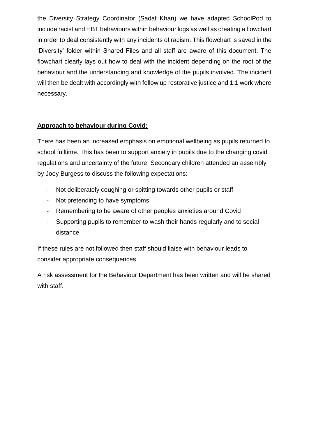the Diversity Strategy Coordinator (Sadaf Khan) we have adapted SchoolPod to include racist and HBT behaviours within behaviour logs as well as creating a flowchart in order to deal consistently with any incidents of racism. This flowchart is saved in the 'Diversity' folder within Shared Files and all staff are aware of this document. The flowchart clearly lays out how to deal with the incident depending on the root of the behaviour and the understanding and knowledge of the pupils involved. The incident will then be dealt with accordingly with follow up restorative justice and 1:1 work where necessary.

#### **Approach to behaviour during Covid:**

There has been an increased emphasis on emotional wellbeing as pupils returned to school fulltime. This has been to support anxiety in pupils due to the changing covid regulations and uncertainty of the future. Secondary children attended an assembly by Joey Burgess to discuss the following expectations:

- Not deliberately coughing or spitting towards other pupils or staff
- Not pretending to have symptoms
- Remembering to be aware of other peoples anxieties around Covid
- Supporting pupils to remember to wash their hands regularly and to social distance

If these rules are not followed then staff should liaise with behaviour leads to consider appropriate consequences.

A risk assessment for the Behaviour Department has been written and will be shared with staff.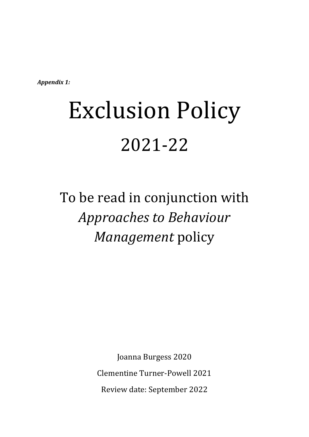*Appendix 1:*

# Exclusion Policy 2021-22

# To be read in conjunction with *Approaches to Behaviour Management* policy

Joanna Burgess 2020 Clementine Turner-Powell 2021 Review date: September 2022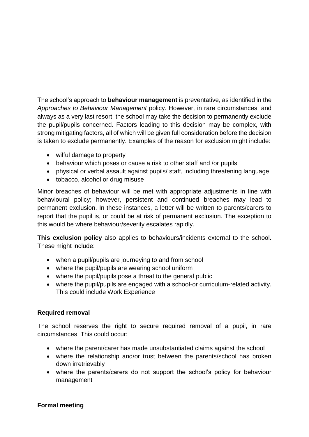The school's approach to **behaviour management** is preventative, as identified in the *Approaches to Behaviour Management* policy. However, in rare circumstances, and always as a very last resort, the school may take the decision to permanently exclude the pupil/pupils concerned. Factors leading to this decision may be complex, with strong mitigating factors, all of which will be given full consideration before the decision is taken to exclude permanently. Examples of the reason for exclusion might include:

- wilful damage to property
- behaviour which poses or cause a risk to other staff and /or pupils
- physical or verbal assault against pupils/ staff, including threatening language
- tobacco, alcohol or drug misuse

Minor breaches of behaviour will be met with appropriate adjustments in line with behavioural policy; however, persistent and continued breaches may lead to permanent exclusion. In these instances, a letter will be written to parents/carers to report that the pupil is, or could be at risk of permanent exclusion. The exception to this would be where behaviour/severity escalates rapidly.

**This exclusion policy** also applies to behaviours/incidents external to the school. These might include:

- when a pupil/pupils are journeying to and from school
- where the pupil/pupils are wearing school uniform
- where the pupil/pupils pose a threat to the general public
- where the pupil/pupils are engaged with a school-or curriculum-related activity. This could include Work Experience

#### **Required removal**

The school reserves the right to secure required removal of a pupil, in rare circumstances. This could occur:

- where the parent/carer has made unsubstantiated claims against the school
- where the relationship and/or trust between the parents/school has broken down irretrievably
- where the parents/carers do not support the school's policy for behaviour management

#### **Formal meeting**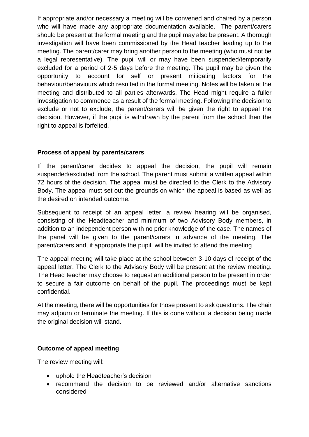If appropriate and/or necessary a meeting will be convened and chaired by a person who will have made any appropriate documentation available. The parent/carers should be present at the formal meeting and the pupil may also be present. A thorough investigation will have been commissioned by the Head teacher leading up to the meeting. The parent/carer may bring another person to the meeting (who must not be a legal representative). The pupil will or may have been suspended/temporarily excluded for a period of 2-5 days before the meeting. The pupil may be given the opportunity to account for self or present mitigating factors for the behaviour/behaviours which resulted in the formal meeting. Notes will be taken at the meeting and distributed to all parties afterwards. The Head might require a fuller investigation to commence as a result of the formal meeting. Following the decision to exclude or not to exclude, the parent/carers will be given the right to appeal the decision. However, if the pupil is withdrawn by the parent from the school then the right to appeal is forfeited.

#### **Process of appeal by parents/carers**

If the parent/carer decides to appeal the decision, the pupil will remain suspended/excluded from the school. The parent must submit a written appeal within 72 hours of the decision. The appeal must be directed to the Clerk to the Advisory Body. The appeal must set out the grounds on which the appeal is based as well as the desired on intended outcome.

Subsequent to receipt of an appeal letter, a review hearing will be organised, consisting of the Headteacher and minimum of two Advisory Body members, in addition to an independent person with no prior knowledge of the case. The names of the panel will be given to the parent/carers in advance of the meeting. The parent/carers and, if appropriate the pupil, will be invited to attend the meeting

The appeal meeting will take place at the school between 3-10 days of receipt of the appeal letter. The Clerk to the Advisory Body will be present at the review meeting. The Head teacher may choose to request an additional person to be present in order to secure a fair outcome on behalf of the pupil. The proceedings must be kept confidential.

At the meeting, there will be opportunities for those present to ask questions. The chair may adjourn or terminate the meeting. If this is done without a decision being made the original decision will stand.

#### **Outcome of appeal meeting**

The review meeting will:

- uphold the Headteacher's decision
- recommend the decision to be reviewed and/or alternative sanctions considered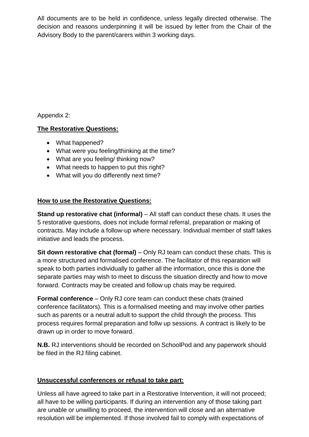All documents are to be held in confidence, unless legally directed otherwise. The decision and reasons underpinning it will be issued by letter from the Chair of the Advisory Body to the parent/carers within 3 working days.

Appendix 2:

#### **The Restorative Questions:**

- What happened?
- What were you feeling/thinking at the time?
- What are you feeling/ thinking now?
- What needs to happen to put this right?
- What will you do differently next time?

#### **How to use the Restorative Questions:**

**Stand up restorative chat (informal)** – All staff can conduct these chats. It uses the 5 restorative questions, does not include formal referral, preparation or making of contracts. May include a follow-up where necessary. Individual member of staff takes initiative and leads the process.

**Sit down restorative chat (formal)** – Only RJ team can conduct these chats. This is a more structured and formalised conference. The facilitator of this reparation will speak to both parties individually to gather all the information, once this is done the separate parties may wish to meet to discuss the situation directly and how to move forward. Contracts may be created and follow up chats may be required.

**Formal conference** – Only RJ core team can conduct these chats (trained conference facilitators). This is a formalised meeting and may involve other parties such as parents or a neutral adult to support the child through the process. This process requires formal preparation and follw up sessions. A contract is likely to be drawn up in order to move forward.

**N.B.** RJ interventions should be recorded on SchoolPod and any paperwork should be filed in the RJ filing cabinet.

#### **Unsuccessful conferences or refusal to take part:**

Unless all have agreed to take part in a Restorative Intervention, it will not proceed; all have to be willing participants. If during an intervention any of those taking part are unable or unwilling to proceed, the intervention will close and an alternative resolution will be implemented. If those involved fail to comply with expectations of